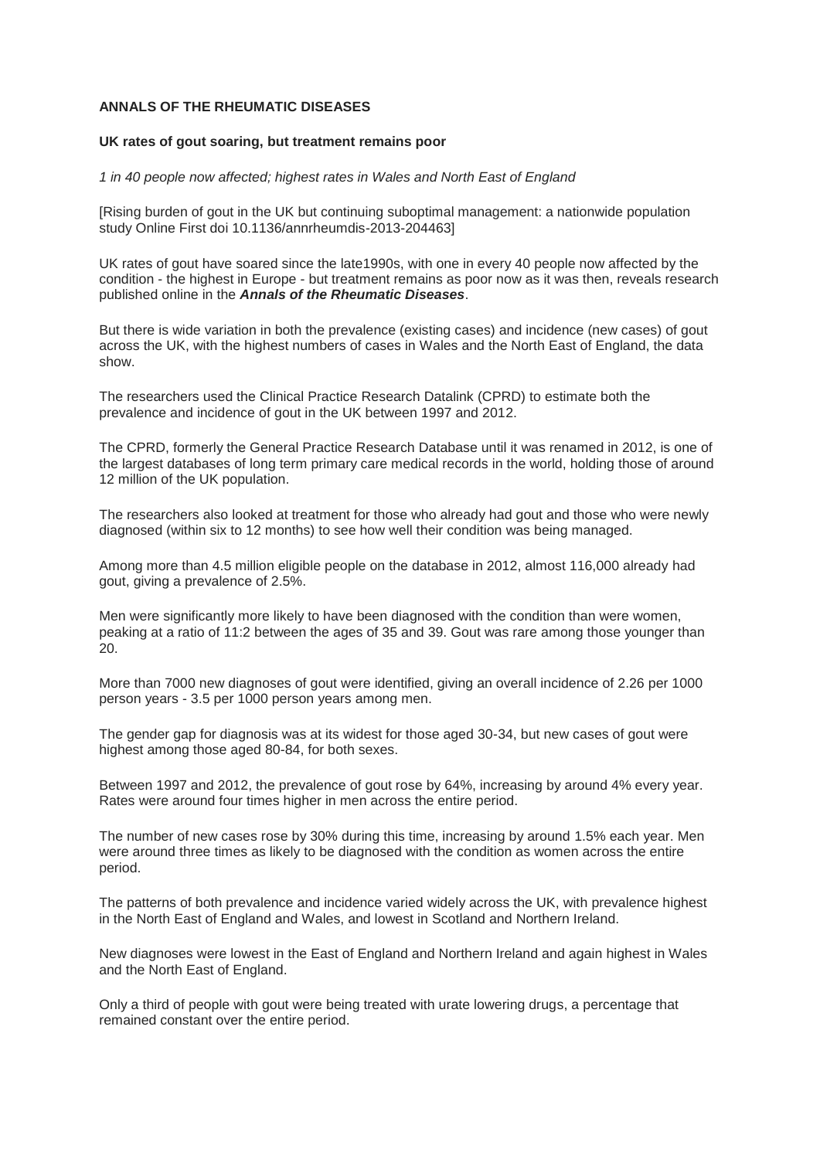## **ANNALS OF THE RHEUMATIC DISEASES**

## **UK rates of gout soaring, but treatment remains poor**

## *1 in 40 people now affected; highest rates in Wales and North East of England*

[Rising burden of gout in the UK but continuing suboptimal management: a nationwide population study Online First doi 10.1136/annrheumdis-2013-204463]

UK rates of gout have soared since the late1990s, with one in every 40 people now affected by the condition - the highest in Europe - but treatment remains as poor now as it was then, reveals research published online in the *Annals of the Rheumatic Diseases*.

But there is wide variation in both the prevalence (existing cases) and incidence (new cases) of gout across the UK, with the highest numbers of cases in Wales and the North East of England, the data show.

The researchers used the Clinical Practice Research Datalink (CPRD) to estimate both the prevalence and incidence of gout in the UK between 1997 and 2012.

The CPRD, formerly the General Practice Research Database until it was renamed in 2012, is one of the largest databases of long term primary care medical records in the world, holding those of around 12 million of the UK population.

The researchers also looked at treatment for those who already had gout and those who were newly diagnosed (within six to 12 months) to see how well their condition was being managed.

Among more than 4.5 million eligible people on the database in 2012, almost 116,000 already had gout, giving a prevalence of 2.5%.

Men were significantly more likely to have been diagnosed with the condition than were women, peaking at a ratio of 11:2 between the ages of 35 and 39. Gout was rare among those younger than 20.

More than 7000 new diagnoses of gout were identified, giving an overall incidence of 2.26 per 1000 person years - 3.5 per 1000 person years among men.

The gender gap for diagnosis was at its widest for those aged 30-34, but new cases of gout were highest among those aged 80-84, for both sexes.

Between 1997 and 2012, the prevalence of gout rose by 64%, increasing by around 4% every year. Rates were around four times higher in men across the entire period.

The number of new cases rose by 30% during this time, increasing by around 1.5% each year. Men were around three times as likely to be diagnosed with the condition as women across the entire period.

The patterns of both prevalence and incidence varied widely across the UK, with prevalence highest in the North East of England and Wales, and lowest in Scotland and Northern Ireland.

New diagnoses were lowest in the East of England and Northern Ireland and again highest in Wales and the North East of England.

Only a third of people with gout were being treated with urate lowering drugs, a percentage that remained constant over the entire period.